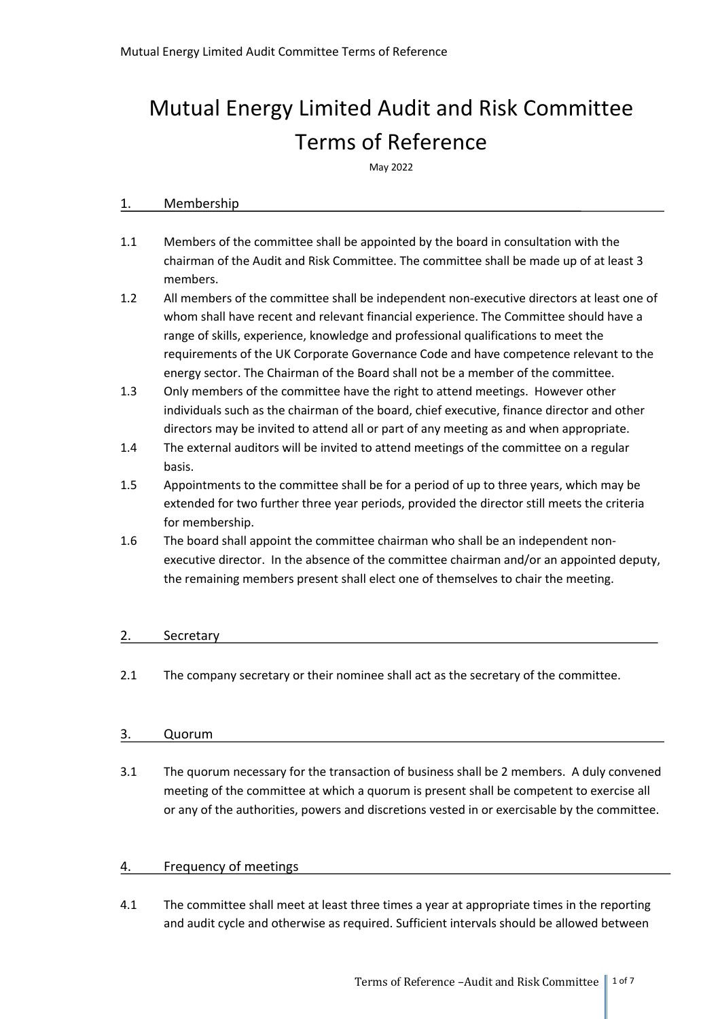# Mutual Energy Limited Audit and Risk Committee Terms of Reference

May 2022

#### 1. Membership

- 1.1 Members of the committee shall be appointed by the board in consultation with the chairman of the Audit and Risk Committee. The committee shall be made up of at least 3 members.
- 1.2 All members of the committee shall be independent non-executive directors at least one of whom shall have recent and relevant financial experience. The Committee should have a range of skills, experience, knowledge and professional qualifications to meet the requirements of the UK Corporate Governance Code and have competence relevant to the energy sector. The Chairman of the Board shall not be a member of the committee.
- 1.3 Only members of the committee have the right to attend meetings. However other individuals such as the chairman of the board, chief executive, finance director and other directors may be invited to attend all or part of any meeting as and when appropriate.
- 1.4 The external auditors will be invited to attend meetings of the committee on a regular basis.
- 1.5 Appointments to the committee shall be for a period of up to three years, which may be extended for two further three year periods, provided the director still meets the criteria for membership.
- 1.6 The board shall appoint the committee chairman who shall be an independent nonexecutive director. In the absence of the committee chairman and/or an appointed deputy, the remaining members present shall elect one of themselves to chair the meeting.

## 2. Secretary

2.1 The company secretary or their nominee shall act as the secretary of the committee.

## 3. Quorum

3.1 The quorum necessary for the transaction of business shall be 2 members. A duly convened meeting of the committee at which a quorum is present shall be competent to exercise all or any of the authorities, powers and discretions vested in or exercisable by the committee.

## 4. Frequency of meetings

4.1 The committee shall meet at least three times a year at appropriate times in the reporting and audit cycle and otherwise as required. Sufficient intervals should be allowed between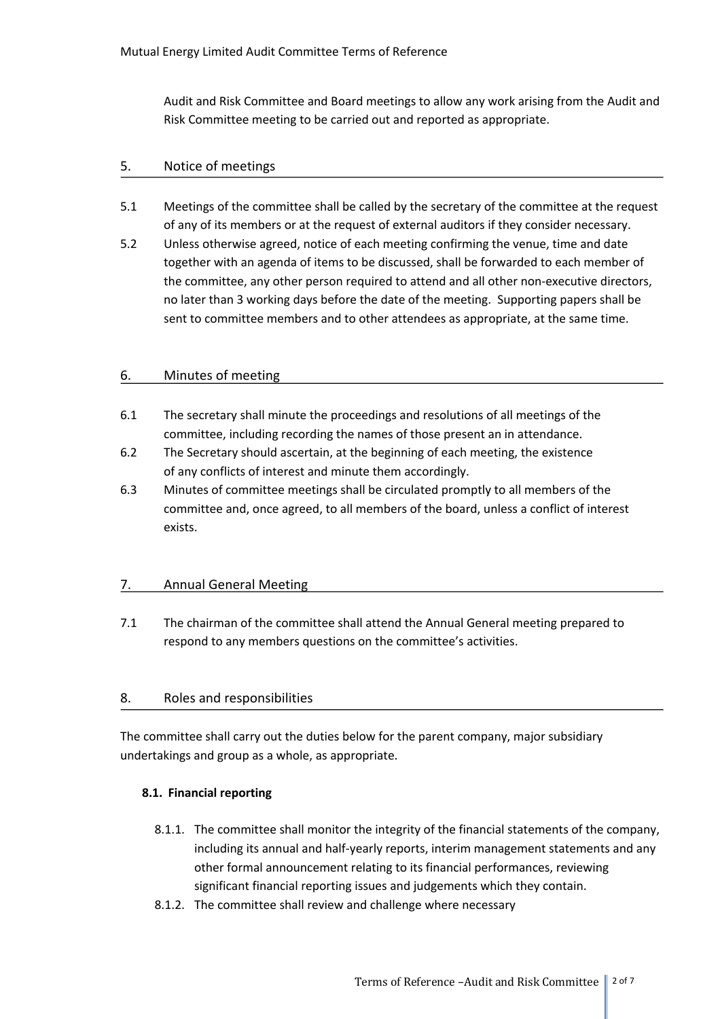Audit and Risk Committee and Board meetings to allow any work arising from the Audit and Risk Committee meeting to be carried out and reported as appropriate.

## 5. Notice of meetings

- 5.1 Meetings of the committee shall be called by the secretary of the committee at the request of any of its members or at the request of external auditors if they consider necessary.
- 5.2 Unless otherwise agreed, notice of each meeting confirming the venue, time and date together with an agenda of items to be discussed, shall be forwarded to each member of the committee, any other person required to attend and all other non-executive directors, no later than 3 working days before the date of the meeting. Supporting papers shall be sent to committee members and to other attendees as appropriate, at the same time.

# 6. Minutes of meeting

- 6.1 The secretary shall minute the proceedings and resolutions of all meetings of the committee, including recording the names of those present an in attendance.
- 6.2 The Secretary should ascertain, at the beginning of each meeting, the existence of any conflicts of interest and minute them accordingly.
- 6.3 Minutes of committee meetings shall be circulated promptly to all members of the committee and, once agreed, to all members of the board, unless a conflict of interest exists.

# 7. Annual General Meeting

7.1 The chairman of the committee shall attend the Annual General meeting prepared to respond to any members questions on the committee's activities.

## 8. Roles and responsibilities

The committee shall carry out the duties below for the parent company, major subsidiary undertakings and group as a whole, as appropriate.

## **8.1. Financial reporting**

- 8.1.1. The committee shall monitor the integrity of the financial statements of the company, including its annual and half-yearly reports, interim management statements and any other formal announcement relating to its financial performances, reviewing significant financial reporting issues and judgements which they contain.
- 8.1.2. The committee shall review and challenge where necessary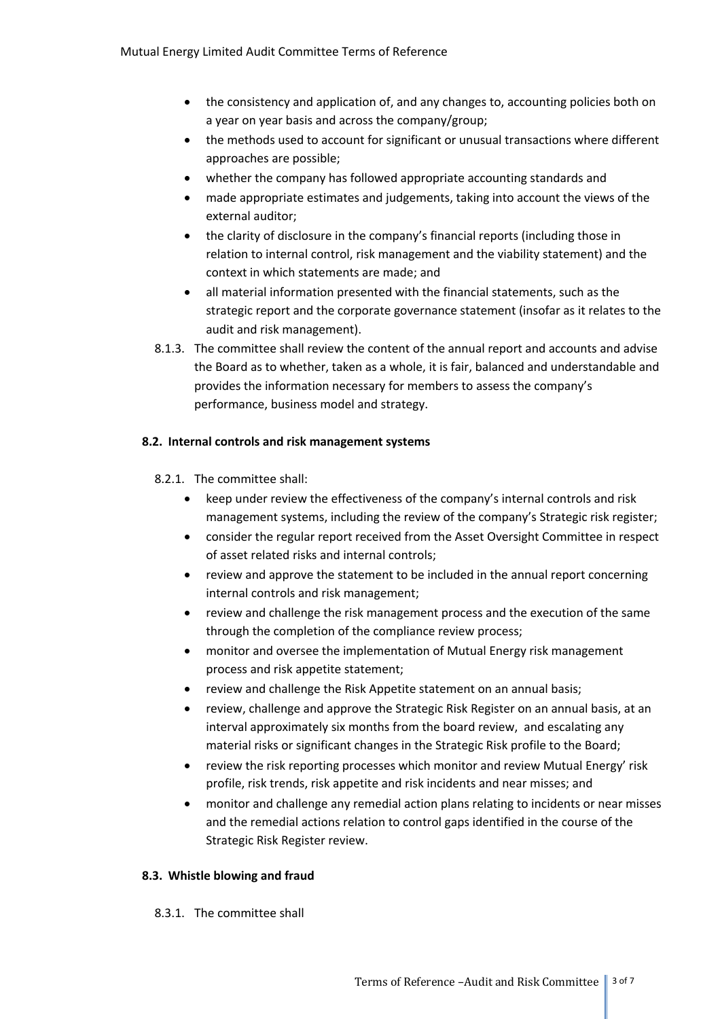- the consistency and application of, and any changes to, accounting policies both on a year on year basis and across the company/group;
- the methods used to account for significant or unusual transactions where different approaches are possible;
- whether the company has followed appropriate accounting standards and
- made appropriate estimates and judgements, taking into account the views of the external auditor;
- the clarity of disclosure in the company's financial reports (including those in relation to internal control, risk management and the viability statement) and the context in which statements are made; and
- all material information presented with the financial statements, such as the strategic report and the corporate governance statement (insofar as it relates to the audit and risk management).
- 8.1.3. The committee shall review the content of the annual report and accounts and advise the Board as to whether, taken as a whole, it is fair, balanced and understandable and provides the information necessary for members to assess the company's performance, business model and strategy.

## **8.2. Internal controls and risk management systems**

- 8.2.1. The committee shall:
	- keep under review the effectiveness of the company's internal controls and risk management systems, including the review of the company's Strategic risk register;
	- consider the regular report received from the Asset Oversight Committee in respect of asset related risks and internal controls;
	- review and approve the statement to be included in the annual report concerning internal controls and risk management;
	- review and challenge the risk management process and the execution of the same through the completion of the compliance review process;
	- monitor and oversee the implementation of Mutual Energy risk management process and risk appetite statement;
	- review and challenge the Risk Appetite statement on an annual basis;
	- review, challenge and approve the Strategic Risk Register on an annual basis, at an interval approximately six months from the board review, and escalating any material risks or significant changes in the Strategic Risk profile to the Board;
	- review the risk reporting processes which monitor and review Mutual Energy' risk profile, risk trends, risk appetite and risk incidents and near misses; and
	- monitor and challenge any remedial action plans relating to incidents or near misses and the remedial actions relation to control gaps identified in the course of the Strategic Risk Register review.

## **8.3. Whistle blowing and fraud**

8.3.1. The committee shall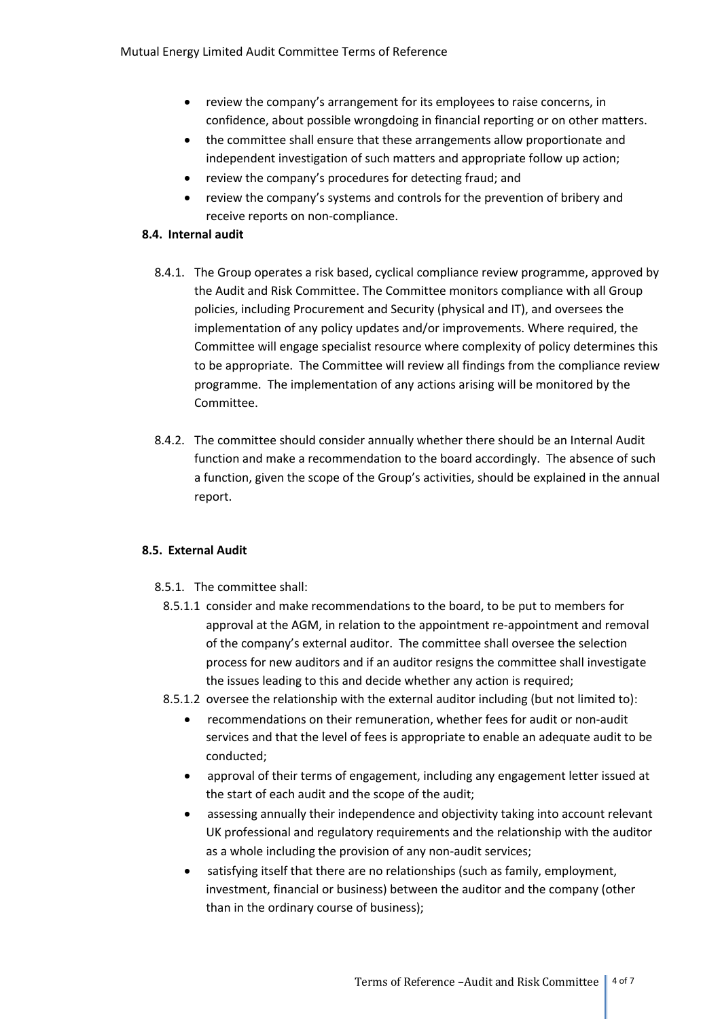- review the company's arrangement for its employees to raise concerns, in confidence, about possible wrongdoing in financial reporting or on other matters.
- the committee shall ensure that these arrangements allow proportionate and independent investigation of such matters and appropriate follow up action;
- review the company's procedures for detecting fraud; and
- review the company's systems and controls for the prevention of bribery and receive reports on non-compliance.

## **8.4. Internal audit**

- 8.4.1. The Group operates a risk based, cyclical compliance review programme, approved by the Audit and Risk Committee. The Committee monitors compliance with all Group policies, including Procurement and Security (physical and IT), and oversees the implementation of any policy updates and/or improvements. Where required, the Committee will engage specialist resource where complexity of policy determines this to be appropriate. The Committee will review all findings from the compliance review programme. The implementation of any actions arising will be monitored by the Committee.
- 8.4.2. The committee should consider annually whether there should be an Internal Audit function and make a recommendation to the board accordingly. The absence of such a function, given the scope of the Group's activities, should be explained in the annual report.

## **8.5. External Audit**

- 8.5.1. The committee shall:
	- 8.5.1.1 consider and make recommendations to the board, to be put to members for approval at the AGM, in relation to the appointment re-appointment and removal of the company's external auditor. The committee shall oversee the selection process for new auditors and if an auditor resigns the committee shall investigate the issues leading to this and decide whether any action is required;
- 8.5.1.2 oversee the relationship with the external auditor including (but not limited to):
	- recommendations on their remuneration, whether fees for audit or non-audit services and that the level of fees is appropriate to enable an adequate audit to be conducted;
	- approval of their terms of engagement, including any engagement letter issued at the start of each audit and the scope of the audit;
	- assessing annually their independence and objectivity taking into account relevant UK professional and regulatory requirements and the relationship with the auditor as a whole including the provision of any non-audit services;
	- satisfying itself that there are no relationships (such as family, employment, investment, financial or business) between the auditor and the company (other than in the ordinary course of business);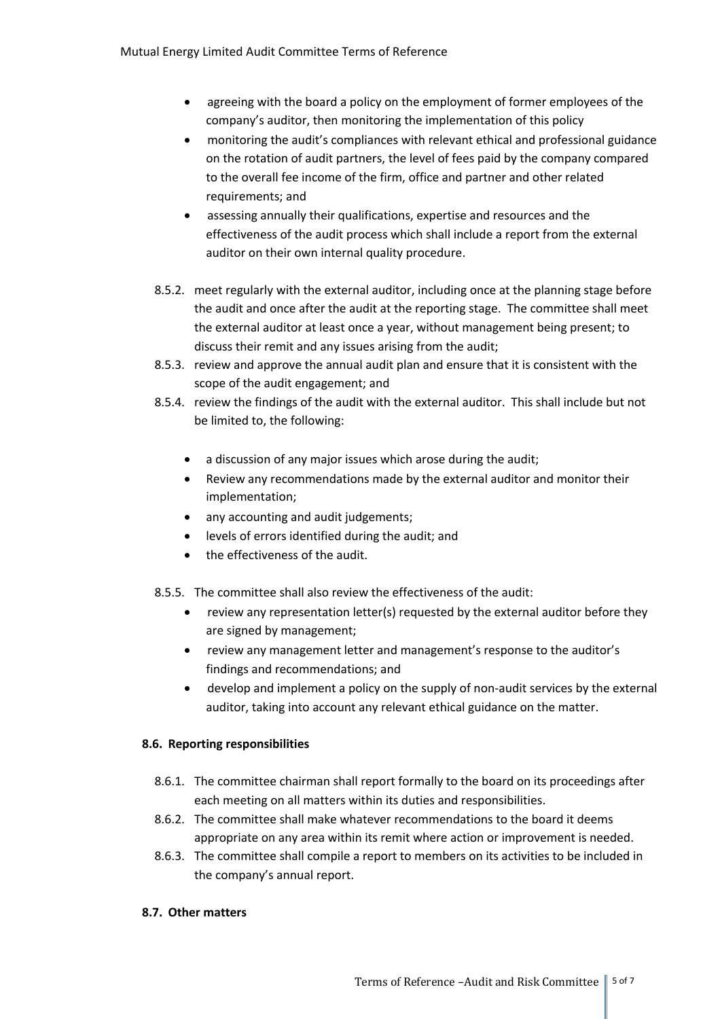- agreeing with the board a policy on the employment of former employees of the company's auditor, then monitoring the implementation of this policy
- monitoring the audit's compliances with relevant ethical and professional guidance on the rotation of audit partners, the level of fees paid by the company compared to the overall fee income of the firm, office and partner and other related requirements; and
- assessing annually their qualifications, expertise and resources and the effectiveness of the audit process which shall include a report from the external auditor on their own internal quality procedure.
- 8.5.2. meet regularly with the external auditor, including once at the planning stage before the audit and once after the audit at the reporting stage. The committee shall meet the external auditor at least once a year, without management being present; to discuss their remit and any issues arising from the audit;
- 8.5.3. review and approve the annual audit plan and ensure that it is consistent with the scope of the audit engagement; and
- 8.5.4. review the findings of the audit with the external auditor. This shall include but not be limited to, the following:
	- a discussion of any major issues which arose during the audit;
	- Review any recommendations made by the external auditor and monitor their implementation;
	- any accounting and audit judgements;
	- levels of errors identified during the audit; and
	- the effectiveness of the audit.

8.5.5. The committee shall also review the effectiveness of the audit:

- review any representation letter(s) requested by the external auditor before they are signed by management;
- review any management letter and management's response to the auditor's findings and recommendations; and
- develop and implement a policy on the supply of non-audit services by the external auditor, taking into account any relevant ethical guidance on the matter.

# **8.6. Reporting responsibilities**

- 8.6.1. The committee chairman shall report formally to the board on its proceedings after each meeting on all matters within its duties and responsibilities.
- 8.6.2. The committee shall make whatever recommendations to the board it deems appropriate on any area within its remit where action or improvement is needed.
- 8.6.3. The committee shall compile a report to members on its activities to be included in the company's annual report.

# **8.7. Other matters**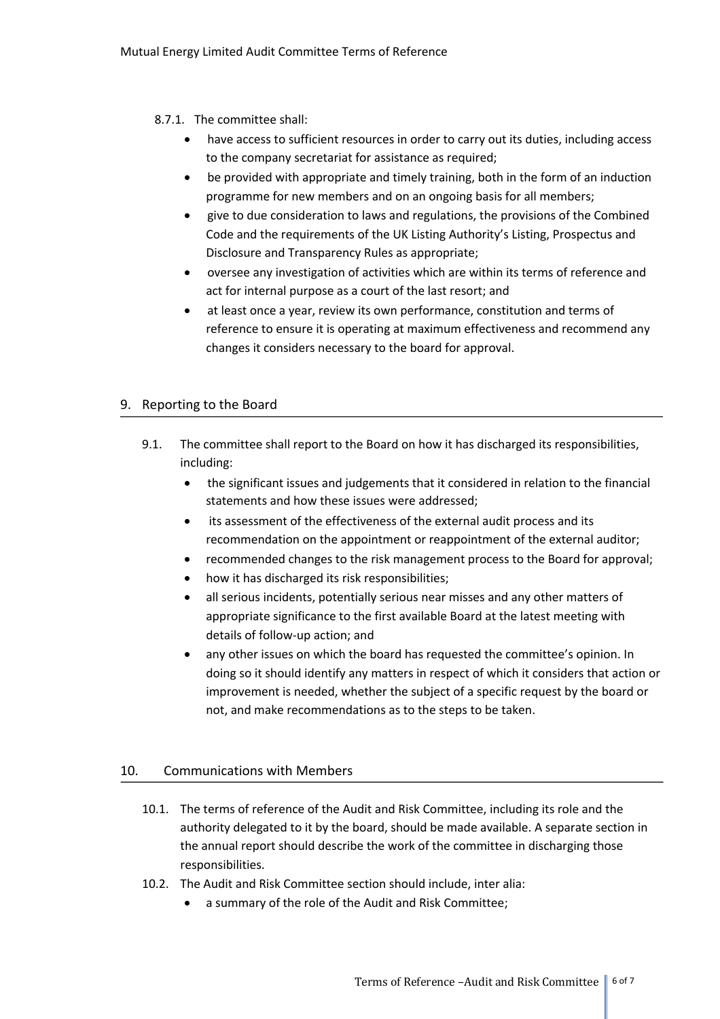## 8.7.1. The committee shall:

- have access to sufficient resources in order to carry out its duties, including access to the company secretariat for assistance as required;
- be provided with appropriate and timely training, both in the form of an induction programme for new members and on an ongoing basis for all members;
- give to due consideration to laws and regulations, the provisions of the Combined Code and the requirements of the UK Listing Authority's Listing, Prospectus and Disclosure and Transparency Rules as appropriate;
- oversee any investigation of activities which are within its terms of reference and act for internal purpose as a court of the last resort; and
- at least once a year, review its own performance, constitution and terms of reference to ensure it is operating at maximum effectiveness and recommend any changes it considers necessary to the board for approval.

# 9. Reporting to the Board

- 9.1. The committee shall report to the Board on how it has discharged its responsibilities, including:
	- the significant issues and judgements that it considered in relation to the financial statements and how these issues were addressed;
	- its assessment of the effectiveness of the external audit process and its recommendation on the appointment or reappointment of the external auditor;
	- recommended changes to the risk management process to the Board for approval;
	- how it has discharged its risk responsibilities;
	- all serious incidents, potentially serious near misses and any other matters of appropriate significance to the first available Board at the latest meeting with details of follow-up action; and
	- any other issues on which the board has requested the committee's opinion. In doing so it should identify any matters in respect of which it considers that action or improvement is needed, whether the subject of a specific request by the board or not, and make recommendations as to the steps to be taken.

## 10. Communications with Members

- 10.1. The terms of reference of the Audit and Risk Committee, including its role and the authority delegated to it by the board, should be made available. A separate section in the annual report should describe the work of the committee in discharging those responsibilities.
- 10.2. The Audit and Risk Committee section should include, inter alia:
	- a summary of the role of the Audit and Risk Committee;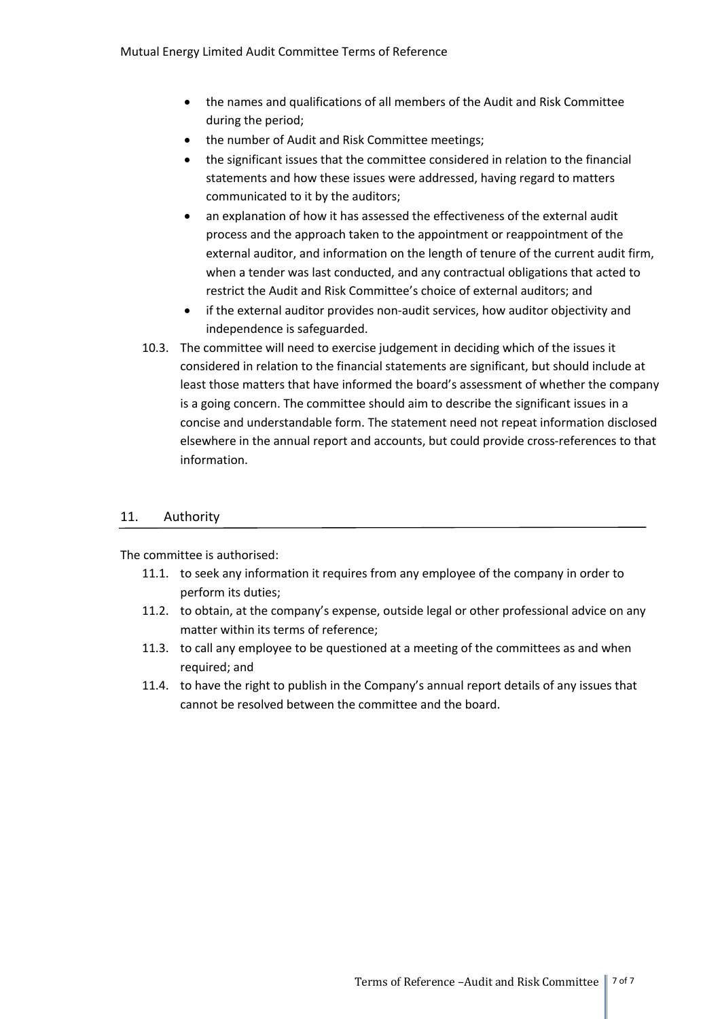- the names and qualifications of all members of the Audit and Risk Committee during the period;
- the number of Audit and Risk Committee meetings;
- the significant issues that the committee considered in relation to the financial statements and how these issues were addressed, having regard to matters communicated to it by the auditors;
- an explanation of how it has assessed the effectiveness of the external audit process and the approach taken to the appointment or reappointment of the external auditor, and information on the length of tenure of the current audit firm, when a tender was last conducted, and any contractual obligations that acted to restrict the Audit and Risk Committee's choice of external auditors; and
- if the external auditor provides non-audit services, how auditor objectivity and independence is safeguarded.
- 10.3. The committee will need to exercise judgement in deciding which of the issues it considered in relation to the financial statements are significant, but should include at least those matters that have informed the board's assessment of whether the company is a going concern. The committee should aim to describe the significant issues in a concise and understandable form. The statement need not repeat information disclosed elsewhere in the annual report and accounts, but could provide cross-references to that information.

## 11. Authority

The committee is authorised:

- 11.1. to seek any information it requires from any employee of the company in order to perform its duties;
- 11.2. to obtain, at the company's expense, outside legal or other professional advice on any matter within its terms of reference;
- 11.3. to call any employee to be questioned at a meeting of the committees as and when required; and
- 11.4. to have the right to publish in the Company's annual report details of any issues that cannot be resolved between the committee and the board.